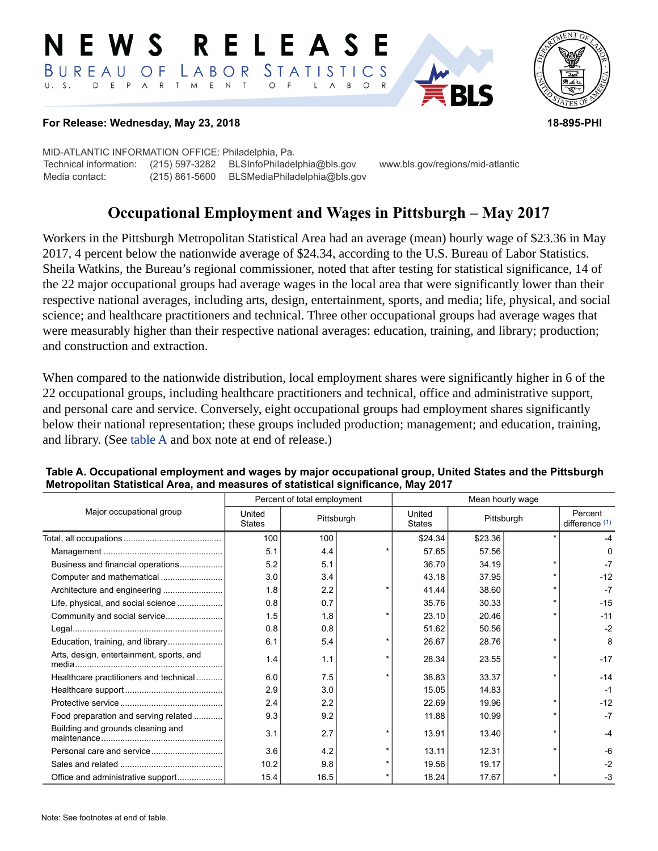#### E W S **RELEASE** LABOR STATISTICS BUREAU OF D E P A R T M E N T  $\circ$  $U. S.$  $F$  $\mathsf{L}$  $\overline{A}$  $B$  $\circ$



### **For Release: Wednesday, May 23, 2018 18-895-PHI**

MID-ATLANTIC INFORMATION OFFICE: Philadelphia, Pa. Technical information: (215) 597-3282 BLSInfoPhiladelphia@bls.gov www.bls.gov/regions/mid-atlantic Media contact: (215) 861-5600 BLSMediaPhiladelphia@bls.gov

# **Occupational Employment and Wages in Pittsburgh – May 2017**

Workers in the Pittsburgh Metropolitan Statistical Area had an average (mean) hourly wage of \$23.36 in May 2017, 4 percent below the nationwide average of \$24.34, according to the U.S. Bureau of Labor Statistics. Sheila Watkins, the Bureau's regional commissioner, noted that after testing for statistical significance, 14 of the 22 major occupational groups had average wages in the local area that were significantly lower than their respective national averages, including arts, design, entertainment, sports, and media; life, physical, and social science; and healthcare practitioners and technical. Three other occupational groups had average wages that were measurably higher than their respective national averages: education, training, and library; production; and construction and extraction.

When compared to the nationwide distribution, local employment shares were significantly higher in 6 of the 22 occupational groups, including healthcare practitioners and technical, office and administrative support, and personal care and service. Conversely, eight occupational groups had employment shares significantly below their national representation; these groups included production; management; and education, training, and library. (See table A and box note at end of release.)

|                                          | Percent of total employment |            |  | Mean hourly wage                      |         |  |                             |
|------------------------------------------|-----------------------------|------------|--|---------------------------------------|---------|--|-----------------------------|
| Major occupational group                 | United<br><b>States</b>     | Pittsburgh |  | United<br>Pittsburgh<br><b>States</b> |         |  | Percent<br>difference $(1)$ |
|                                          | 100                         | 100        |  | \$24.34                               | \$23.36 |  |                             |
|                                          | 5.1                         | 4.4        |  | 57.65                                 | 57.56   |  | n                           |
| Business and financial operations        | 5.2                         | 5.1        |  | 36.70                                 | 34.19   |  | $-7$                        |
|                                          | 3.0                         | 3.4        |  | 43.18                                 | 37.95   |  | $-12$                       |
|                                          | 1.8                         | 2.2        |  | 41.44                                 | 38.60   |  | $-7$                        |
| Life, physical, and social science       | 0.8                         | 0.7        |  | 35.76                                 | 30.33   |  | $-15$                       |
|                                          | 1.5                         | 1.8        |  | 23.10                                 | 20.46   |  | $-11$                       |
|                                          | 0.8                         | 0.8        |  | 51.62                                 | 50.56   |  | $-2$                        |
| Education, training, and library         | 6.1                         | 5.4        |  | 26.67                                 | 28.76   |  | 8                           |
| Arts, design, entertainment, sports, and | 1.4                         | 1.1        |  | 28.34                                 | 23.55   |  | $-17$                       |
| Healthcare practitioners and technical   | 6.0                         | 7.5        |  | 38.83                                 | 33.37   |  | $-14$                       |
|                                          | 2.9                         | 3.0        |  | 15.05                                 | 14.83   |  | $-1$                        |
|                                          | 2.4                         | 2.2        |  | 22.69                                 | 19.96   |  | $-12$                       |
| Food preparation and serving related     | 9.3                         | 9.2        |  | 11.88                                 | 10.99   |  | $-7$                        |
| Building and grounds cleaning and        | 3.1                         | 2.7        |  | 13.91                                 | 13.40   |  | $-4$                        |
| Personal care and service                | 3.6                         | 4.2        |  | 13.11                                 | 12.31   |  | -6                          |
|                                          | 10.2                        | 9.8        |  | 19.56                                 | 19.17   |  | $-2$                        |
|                                          | 15.4                        | 16.5       |  | 18.24                                 | 17.67   |  | $-3$                        |

#### **Table A. Occupational employment and wages by major occupational group, United States and the Pittsburgh Metropolitan Statistical Area, and measures of statistical significance, May 2017**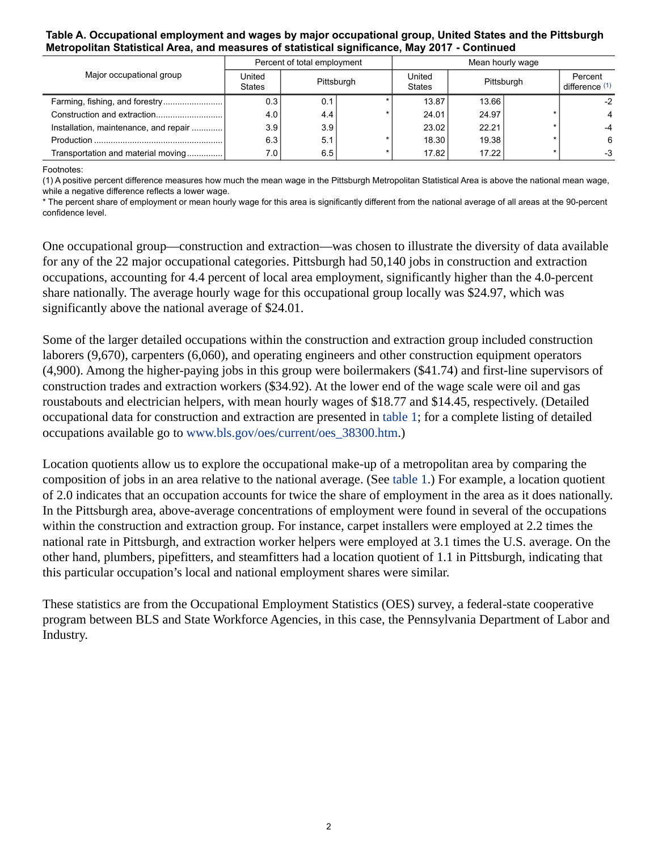### **Table A. Occupational employment and wages by major occupational group, United States and the Pittsburgh Metropolitan Statistical Area, and measures of statistical significance, May 2017 - Continued**

|                                       | Percent of total employment |            |  | Mean hourly wage        |            |  |                           |
|---------------------------------------|-----------------------------|------------|--|-------------------------|------------|--|---------------------------|
| Major occupational group              | United<br><b>States</b>     | Pittsburgh |  | United<br><b>States</b> | Pittsburgh |  | Percent<br>difference (1) |
| Farming, fishing, and forestry        | 0.3                         | 0.1        |  | 13.87                   | 13.66      |  | $-2$                      |
|                                       | 4.0                         | 4.4        |  | 24.01                   | 24.97      |  |                           |
| Installation, maintenance, and repair | 3.9                         | 3.9        |  | 23.02                   | 22.21      |  |                           |
|                                       | 6.3                         | 5.1        |  | 18.30                   | 19.38      |  | 6                         |
| Transportation and material moving    | 7.0                         | 6.5        |  | 17.82                   | 17.22      |  | $-3$                      |

#### <span id="page-1-0"></span>Footnotes:

(1) A positive percent difference measures how much the mean wage in the Pittsburgh Metropolitan Statistical Area is above the national mean wage, while a negative difference reflects a lower wage.

\* The percent share of employment or mean hourly wage for this area is significantly different from the national average of all areas at the 90-percent confidence level.

One occupational group—construction and extraction—was chosen to illustrate the diversity of data available for any of the 22 major occupational categories. Pittsburgh had 50,140 jobs in construction and extraction occupations, accounting for 4.4 percent of local area employment, significantly higher than the 4.0-percent share nationally. The average hourly wage for this occupational group locally was \$24.97, which was significantly above the national average of \$24.01.

Some of the larger detailed occupations within the construction and extraction group included construction laborers (9,670), carpenters (6,060), and operating engineers and other construction equipment operators (4,900). Among the higher-paying jobs in this group were boilermakers (\$41.74) and first-line supervisors of construction trades and extraction workers (\$34.92). At the lower end of the wage scale were oil and gas roustabouts and electrician helpers, with mean hourly wages of \$18.77 and \$14.45, respectively. (Detailed occupational data for construction and extraction are presented in table 1; for a complete listing of detailed occupations available go to [www.bls.gov/oes/current/oes\\_38300.htm](https://www.bls.gov/oes/current/oes_38300.htm).)

Location quotients allow us to explore the occupational make-up of a metropolitan area by comparing the composition of jobs in an area relative to the national average. (See table 1.) For example, a location quotient of 2.0 indicates that an occupation accounts for twice the share of employment in the area as it does nationally. In the Pittsburgh area, above-average concentrations of employment were found in several of the occupations within the construction and extraction group. For instance, carpet installers were employed at 2.2 times the national rate in Pittsburgh, and extraction worker helpers were employed at 3.1 times the U.S. average. On the other hand, plumbers, pipefitters, and steamfitters had a location quotient of 1.1 in Pittsburgh, indicating that this particular occupation's local and national employment shares were similar.

These statistics are from the Occupational Employment Statistics (OES) survey, a federal-state cooperative program between BLS and State Workforce Agencies, in this case, the Pennsylvania Department of Labor and Industry.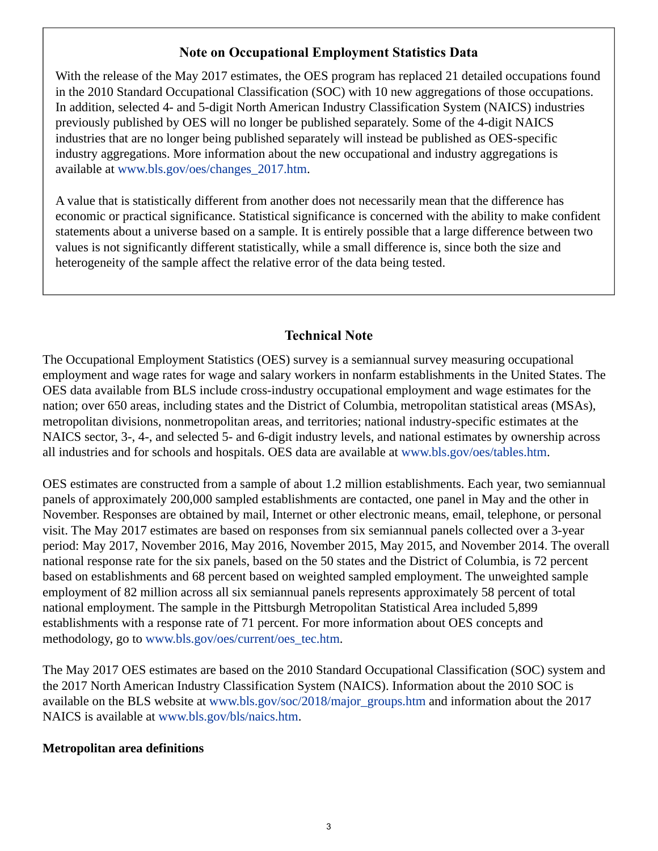# **Note on Occupational Employment Statistics Data**

With the release of the May 2017 estimates, the OES program has replaced 21 detailed occupations found in the 2010 Standard Occupational Classification (SOC) with 10 new aggregations of those occupations. In addition, selected 4- and 5-digit North American Industry Classification System (NAICS) industries previously published by OES will no longer be published separately. Some of the 4-digit NAICS industries that are no longer being published separately will instead be published as OES-specific industry aggregations. More information about the new occupational and industry aggregations is available at [www.bls.gov/oes/changes\\_2017.htm.](https://www.bls.gov/oes/changes_2017.htm)

A value that is statistically different from another does not necessarily mean that the difference has economic or practical significance. Statistical significance is concerned with the ability to make confident statements about a universe based on a sample. It is entirely possible that a large difference between two values is not significantly different statistically, while a small difference is, since both the size and heterogeneity of the sample affect the relative error of the data being tested.

# **Technical Note**

The Occupational Employment Statistics (OES) survey is a semiannual survey measuring occupational employment and wage rates for wage and salary workers in nonfarm establishments in the United States. The OES data available from BLS include cross-industry occupational employment and wage estimates for the nation; over 650 areas, including states and the District of Columbia, metropolitan statistical areas (MSAs), metropolitan divisions, nonmetropolitan areas, and territories; national industry-specific estimates at the NAICS sector, 3-, 4-, and selected 5- and 6-digit industry levels, and national estimates by ownership across all industries and for schools and hospitals. OES data are available at [www.bls.gov/oes/tables.htm](https://www.bls.gov/oes/tables.htm).

OES estimates are constructed from a sample of about 1.2 million establishments. Each year, two semiannual panels of approximately 200,000 sampled establishments are contacted, one panel in May and the other in November. Responses are obtained by mail, Internet or other electronic means, email, telephone, or personal visit. The May 2017 estimates are based on responses from six semiannual panels collected over a 3-year period: May 2017, November 2016, May 2016, November 2015, May 2015, and November 2014. The overall national response rate for the six panels, based on the 50 states and the District of Columbia, is 72 percent based on establishments and 68 percent based on weighted sampled employment. The unweighted sample employment of 82 million across all six semiannual panels represents approximately 58 percent of total national employment. The sample in the Pittsburgh Metropolitan Statistical Area included 5,899 establishments with a response rate of 71 percent. For more information about OES concepts and methodology, go to [www.bls.gov/oes/current/oes\\_tec.htm](https://www.bls.gov/oes/current/oes_tec.htm).

The May 2017 OES estimates are based on the 2010 Standard Occupational Classification (SOC) system and the 2017 North American Industry Classification System (NAICS). Information about the 2010 SOC is available on the BLS website at [www.bls.gov/soc/2018/major\\_groups.htm](https://www.bls.gov/soc/2018/major_groups.htm) and information about the 2017 NAICS is available at [www.bls.gov/bls/naics.htm.](https://www.bls.gov/bls/naics.htm)

## **Metropolitan area definitions**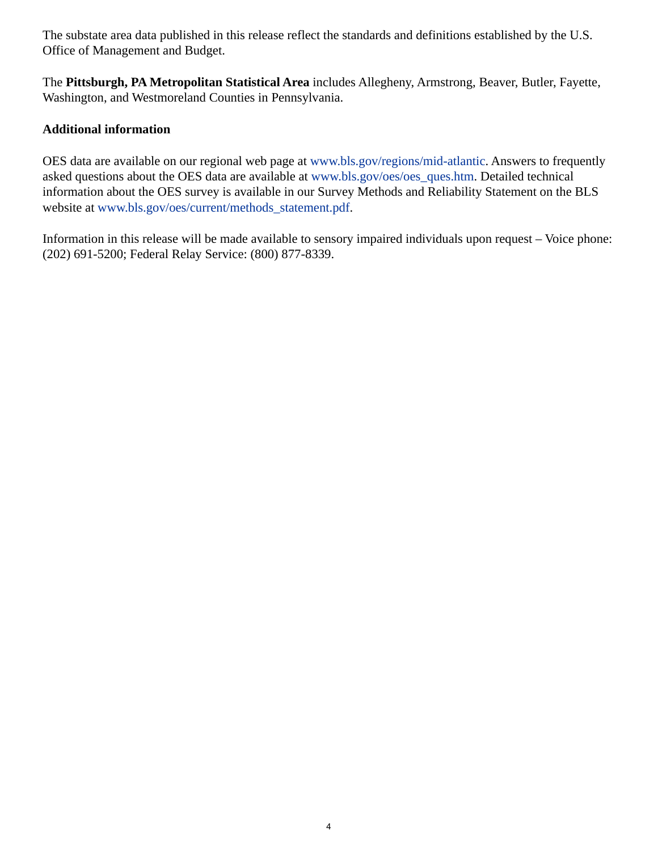The substate area data published in this release reflect the standards and definitions established by the U.S. Office of Management and Budget.

The **Pittsburgh, PA Metropolitan Statistical Area** includes Allegheny, Armstrong, Beaver, Butler, Fayette, Washington, and Westmoreland Counties in Pennsylvania.

# **Additional information**

OES data are available on our regional web page at [www.bls.gov/regions/mid-atlantic.](https://www.bls.gov/regions/mid-atlantic) Answers to frequently asked questions about the OES data are available at [www.bls.gov/oes/oes\\_ques.htm](https://www.bls.gov/oes/oes_ques.htm). Detailed technical information about the OES survey is available in our Survey Methods and Reliability Statement on the BLS website at [www.bls.gov/oes/current/methods\\_statement.pdf.](https://www.bls.gov/oes/current/methods_statement.pdf)

Information in this release will be made available to sensory impaired individuals upon request – Voice phone: (202) 691-5200; Federal Relay Service: (800) 877-8339.